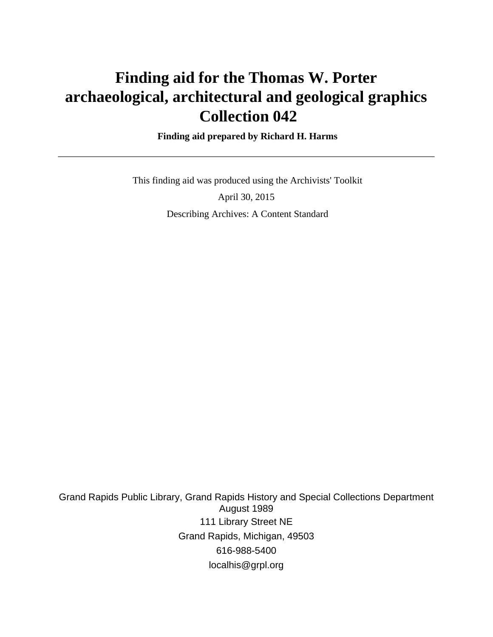# **Finding aid for the Thomas W. Porter archaeological, architectural and geological graphics Collection 042**

### **Finding aid prepared by Richard H. Harms**

 This finding aid was produced using the Archivists' Toolkit April 30, 2015 Describing Archives: A Content Standard

Grand Rapids Public Library, Grand Rapids History and Special Collections Department August 1989 111 Library Street NE Grand Rapids, Michigan, 49503 616-988-5400 localhis@grpl.org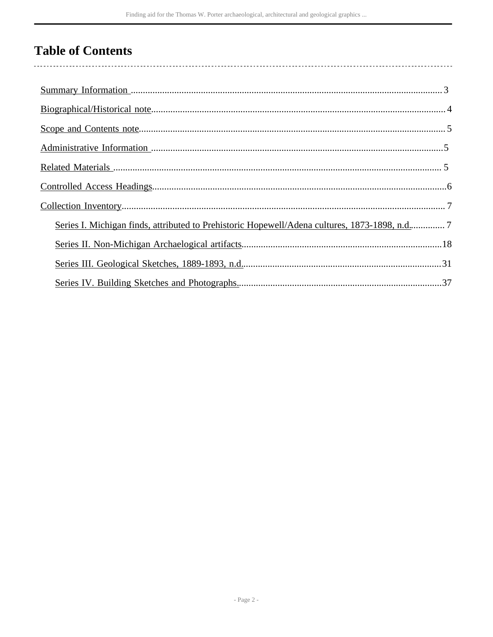# **Table of Contents**

| Series I. Michigan finds, attributed to Prehistoric Hopewell/Adena cultures, 1873-1898, n.d 7 |
|-----------------------------------------------------------------------------------------------|
|                                                                                               |
|                                                                                               |
|                                                                                               |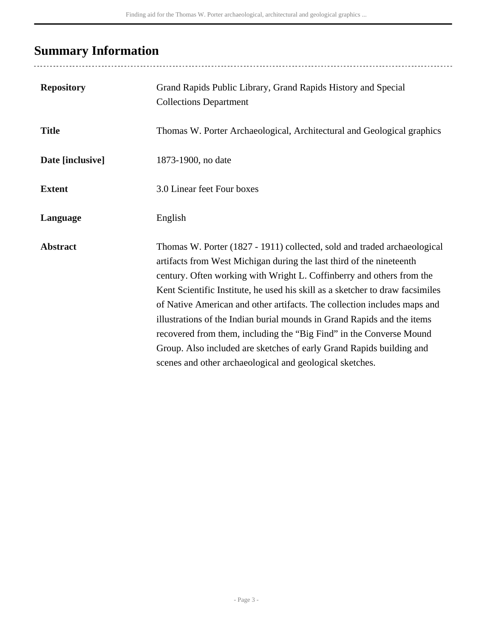# <span id="page-2-0"></span>**Summary Information**

| <b>Repository</b> | Grand Rapids Public Library, Grand Rapids History and Special<br><b>Collections Department</b>                                                                                                                                                                                                                                                                                                                                                                                                                                                                                                                                                                               |
|-------------------|------------------------------------------------------------------------------------------------------------------------------------------------------------------------------------------------------------------------------------------------------------------------------------------------------------------------------------------------------------------------------------------------------------------------------------------------------------------------------------------------------------------------------------------------------------------------------------------------------------------------------------------------------------------------------|
| <b>Title</b>      | Thomas W. Porter Archaeological, Architectural and Geological graphics                                                                                                                                                                                                                                                                                                                                                                                                                                                                                                                                                                                                       |
| Date [inclusive]  | 1873-1900, no date                                                                                                                                                                                                                                                                                                                                                                                                                                                                                                                                                                                                                                                           |
| <b>Extent</b>     | 3.0 Linear feet Four boxes                                                                                                                                                                                                                                                                                                                                                                                                                                                                                                                                                                                                                                                   |
| Language          | English                                                                                                                                                                                                                                                                                                                                                                                                                                                                                                                                                                                                                                                                      |
| <b>Abstract</b>   | Thomas W. Porter (1827 - 1911) collected, sold and traded archaeological<br>artifacts from West Michigan during the last third of the nineteenth<br>century. Often working with Wright L. Coffinberry and others from the<br>Kent Scientific Institute, he used his skill as a sketcher to draw facsimiles<br>of Native American and other artifacts. The collection includes maps and<br>illustrations of the Indian burial mounds in Grand Rapids and the items<br>recovered from them, including the "Big Find" in the Converse Mound<br>Group. Also included are sketches of early Grand Rapids building and<br>scenes and other archaeological and geological sketches. |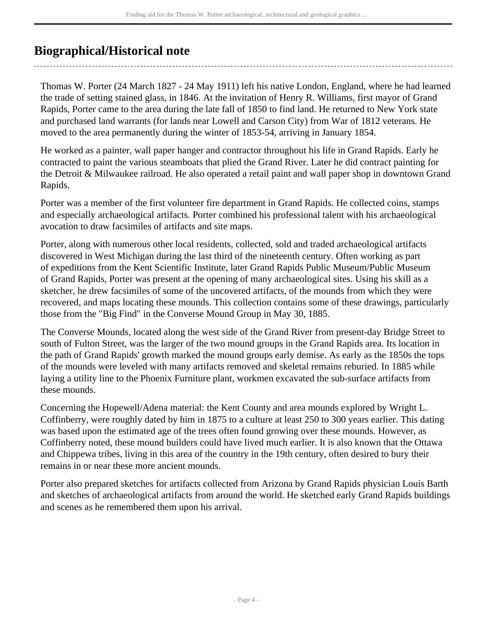# <span id="page-3-0"></span>**Biographical/Historical note**

Thomas W. Porter (24 March 1827 - 24 May 1911) left his native London, England, where he had learned the trade of setting stained glass, in 1846. At the invitation of Henry R. Williams, first mayor of Grand Rapids, Porter came to the area during the late fall of 1850 to find land. He returned to New York state and purchased land warrants (for lands near Lowell and Carson City) from War of 1812 veterans. He moved to the area permanently during the winter of 1853-54, arriving in January 1854.

He worked as a painter, wall paper hanger and contractor throughout his life in Grand Rapids. Early he contracted to paint the various steamboats that plied the Grand River. Later he did contract painting for the Detroit & Milwaukee railroad. He also operated a retail paint and wall paper shop in downtown Grand Rapids.

Porter was a member of the first volunteer fire department in Grand Rapids. He collected coins, stamps and especially archaeological artifacts. Porter combined his professional talent with his archaeological avocation to draw facsimiles of artifacts and site maps.

Porter, along with numerous other local residents, collected, sold and traded archaeological artifacts discovered in West Michigan during the last third of the nineteenth century. Often working as part of expeditions from the Kent Scientific Institute, later Grand Rapids Public Museum/Public Museum of Grand Rapids, Porter was present at the opening of many archaeological sites. Using his skill as a sketcher, he drew facsimiles of some of the uncovered artifacts, of the mounds from which they were recovered, and maps locating these mounds. This collection contains some of these drawings, particularly those from the "Big Find" in the Converse Mound Group in May 30, 1885.

The Converse Mounds, located along the west side of the Grand River from present-day Bridge Street to south of Fulton Street, was the larger of the two mound groups in the Grand Rapids area. Its location in the path of Grand Rapids' growth marked the mound groups early demise. As early as the 1850s the tops of the mounds were leveled with many artifacts removed and skeletal remains reburied. In 1885 while laying a utility line to the Phoenix Furniture plant, workmen excavated the sub-surface artifacts from these mounds.

Concerning the Hopewell/Adena material: the Kent County and area mounds explored by Wright L. Coffinberry, were roughly dated by him in 1875 to a culture at least 250 to 300 years earlier. This dating was based upon the estimated age of the trees often found growing over these mounds. However, as Coffinberry noted, these mound builders could have lived much earlier. It is also known that the Ottawa and Chippewa tribes, living in this area of the country in the 19th century, often desired to bury their remains in or near these more ancient mounds.

Porter also prepared sketches for artifacts collected from Arizona by Grand Rapids physician Louis Barth and sketches of archaeological artifacts from around the world. He sketched early Grand Rapids buildings and scenes as he remembered them upon his arrival.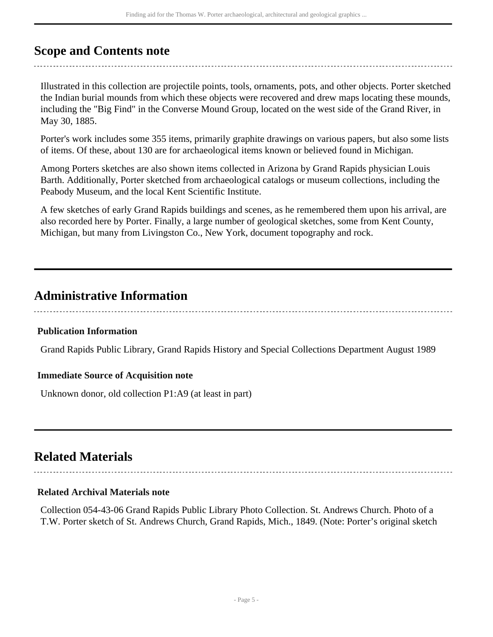# <span id="page-4-0"></span>**Scope and Contents note**

Illustrated in this collection are projectile points, tools, ornaments, pots, and other objects. Porter sketched the Indian burial mounds from which these objects were recovered and drew maps locating these mounds, including the "Big Find" in the Converse Mound Group, located on the west side of the Grand River, in May 30, 1885.

Porter's work includes some 355 items, primarily graphite drawings on various papers, but also some lists of items. Of these, about 130 are for archaeological items known or believed found in Michigan.

Among Porters sketches are also shown items collected in Arizona by Grand Rapids physician Louis Barth. Additionally, Porter sketched from archaeological catalogs or museum collections, including the Peabody Museum, and the local Kent Scientific Institute.

A few sketches of early Grand Rapids buildings and scenes, as he remembered them upon his arrival, are also recorded here by Porter. Finally, a large number of geological sketches, some from Kent County, Michigan, but many from Livingston Co., New York, document topography and rock.

# <span id="page-4-1"></span>**Administrative Information**

# **Publication Information**

Grand Rapids Public Library, Grand Rapids History and Special Collections Department August 1989

### **Immediate Source of Acquisition note**

Unknown donor, old collection P1:A9 (at least in part)

# <span id="page-4-2"></span>**Related Materials**

### **Related Archival Materials note**

Collection 054-43-06 Grand Rapids Public Library Photo Collection. St. Andrews Church. Photo of a T.W. Porter sketch of St. Andrews Church, Grand Rapids, Mich., 1849. (Note: Porter's original sketch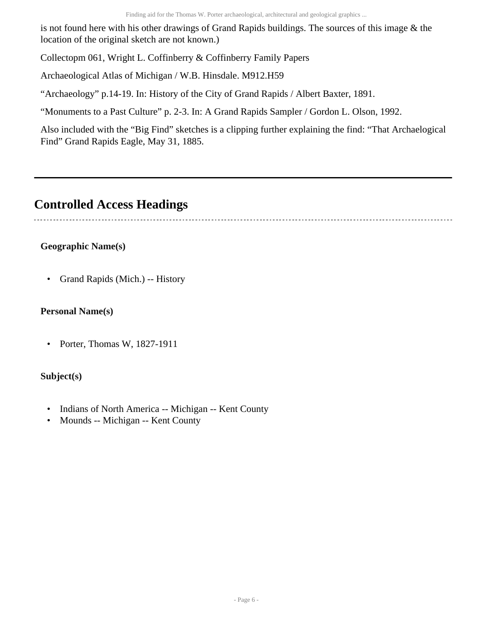is not found here with his other drawings of Grand Rapids buildings. The sources of this image & the location of the original sketch are not known.)

Collectopm 061, Wright L. Coffinberry & Coffinberry Family Papers

Archaeological Atlas of Michigan / W.B. Hinsdale. M912.H59

"Archaeology" p.14-19. In: History of the City of Grand Rapids / Albert Baxter, 1891.

"Monuments to a Past Culture" p. 2-3. In: A Grand Rapids Sampler / Gordon L. Olson, 1992.

Also included with the "Big Find" sketches is a clipping further explaining the find: "That Archaelogical Find" Grand Rapids Eagle, May 31, 1885.

# <span id="page-5-0"></span>**Controlled Access Headings**

# **Geographic Name(s)**

• Grand Rapids (Mich.) -- History

# **Personal Name(s)**

• Porter, Thomas W, 1827-1911

# **Subject(s)**

- Indians of North America -- Michigan -- Kent County
- Mounds -- Michigan -- Kent County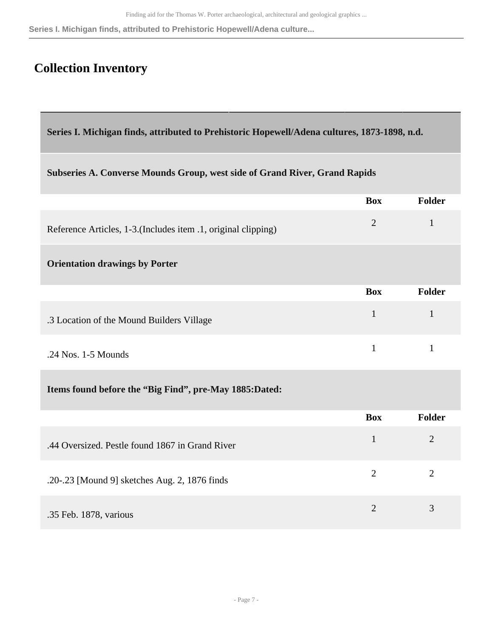#### **Series I. Michigan finds, attributed to Prehistoric Hopewell/Adena culture...**

# <span id="page-6-0"></span>**Collection Inventory**

<span id="page-6-1"></span>**Series I. Michigan finds, attributed to Prehistoric Hopewell/Adena cultures, 1873-1898, n.d.** 

### **Subseries A. Converse Mounds Group, west side of Grand River, Grand Rapids**

|                                                                | <b>Box</b>     | Folder         |
|----------------------------------------------------------------|----------------|----------------|
| Reference Articles, 1-3. (Includes item .1, original clipping) | $\overline{2}$ | $\mathbf{1}$   |
| <b>Orientation drawings by Porter</b>                          |                |                |
|                                                                | <b>Box</b>     | Folder         |
| .3 Location of the Mound Builders Village                      | $\mathbf{1}$   | $\mathbf{1}$   |
| .24 Nos. 1-5 Mounds                                            | $\mathbf{1}$   | $\mathbf{1}$   |
| Items found before the "Big Find", pre-May 1885:Dated:         |                |                |
|                                                                | <b>Box</b>     | <b>Folder</b>  |
| .44 Oversized. Pestle found 1867 in Grand River                | $\mathbf{1}$   | $\overline{2}$ |
| .20-.23 [Mound 9] sketches Aug. 2, 1876 finds                  | $\overline{2}$ | $\overline{2}$ |
| .35 Feb. 1878, various                                         | $\overline{2}$ | 3              |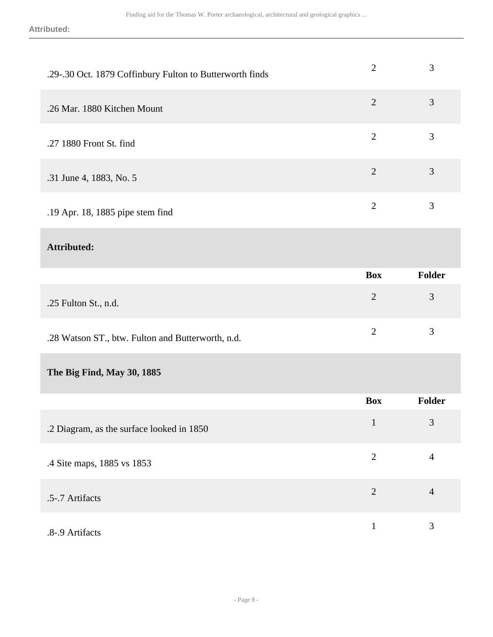**Attributed:**

| .29-.30 Oct. 1879 Coffinbury Fulton to Butterworth finds | $\overline{2}$ | 3              |
|----------------------------------------------------------|----------------|----------------|
| .26 Mar. 1880 Kitchen Mount                              | $\overline{2}$ | 3              |
| .27 1880 Front St. find                                  | $\overline{2}$ | 3              |
| .31 June 4, 1883, No. 5                                  | $\overline{2}$ | 3              |
| .19 Apr. 18, 1885 pipe stem find                         | $\overline{2}$ | 3              |
| <b>Attributed:</b>                                       |                |                |
|                                                          | <b>Box</b>     | Folder         |
| .25 Fulton St., n.d.                                     | $\overline{2}$ | $\mathfrak{Z}$ |
| .28 Watson ST., btw. Fulton and Butterworth, n.d.        | $\overline{2}$ | 3              |
| The Big Find, May 30, 1885                               |                |                |
|                                                          | <b>Box</b>     | Folder         |
| .2 Diagram, as the surface looked in 1850                | $\mathbf{1}$   | $\mathfrak{Z}$ |
|                                                          |                |                |
| .4 Site maps, 1885 vs 1853                               | $\overline{2}$ | $\overline{4}$ |
| .5-.7 Artifacts                                          | $\overline{2}$ | $\overline{4}$ |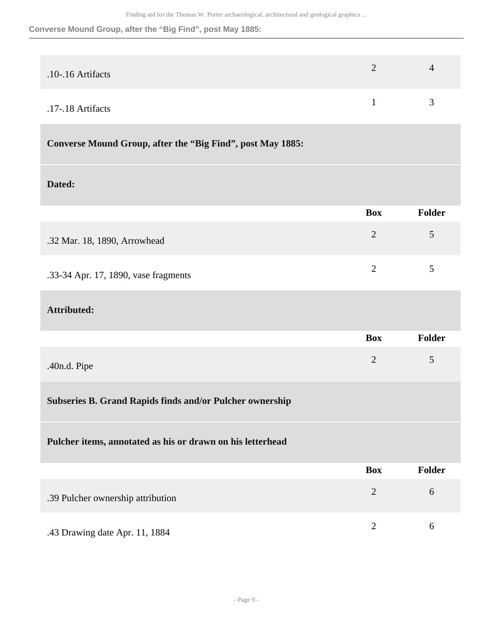#### **Converse Mound Group, after the "Big Find", post May 1885:**

| $.10 - 16$ Artifacts | $\prime$ |
|----------------------|----------|
| .17-.18 Artifacts    | ́        |

# **Converse Mound Group, after the "Big Find", post May 1885:**

#### **Dated:**

|                                      | <b>Box</b> | Folder      |
|--------------------------------------|------------|-------------|
| .32 Mar. 18, 1890, Arrowhead         |            | $5^{\circ}$ |
| .33-34 Apr. 17, 1890, vase fragments |            | 5           |

### **Attributed:**

|              | <b>Box</b> | Folder |
|--------------|------------|--------|
| .40n.d. Pipe |            | 5      |

# **Subseries B. Grand Rapids finds and/or Pulcher ownership**

#### **Pulcher items, annotated as his or drawn on his letterhead**

|                                   | <b>Box</b> | <b>Folder</b> |
|-----------------------------------|------------|---------------|
| .39 Pulcher ownership attribution |            | h             |
| .43 Drawing date Apr. 11, 1884    |            | h             |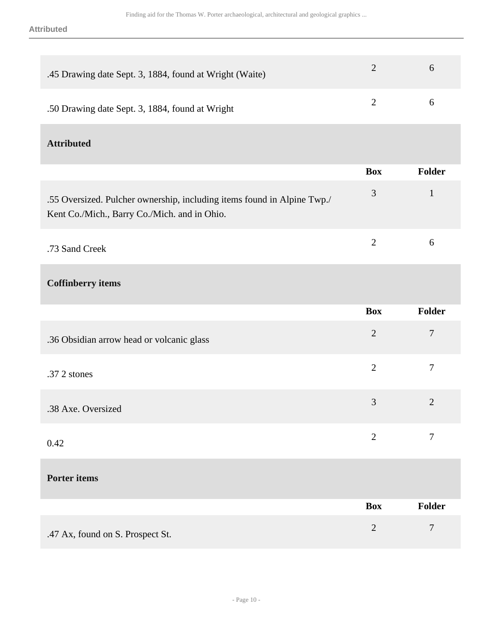| .45 Drawing date Sept. 3, 1884, found at Wright (Waite)                                                                 | $\overline{2}$ | 6             |
|-------------------------------------------------------------------------------------------------------------------------|----------------|---------------|
| .50 Drawing date Sept. 3, 1884, found at Wright                                                                         | $\overline{2}$ | 6             |
| <b>Attributed</b>                                                                                                       |                |               |
|                                                                                                                         | <b>Box</b>     | Folder        |
| .55 Oversized. Pulcher ownership, including items found in Alpine Twp./<br>Kent Co./Mich., Barry Co./Mich. and in Ohio. | 3              | $\mathbf{1}$  |
| .73 Sand Creek                                                                                                          | $\overline{2}$ | 6             |
| <b>Coffinberry</b> items                                                                                                |                |               |
|                                                                                                                         | <b>Box</b>     | <b>Folder</b> |
| .36 Obsidian arrow head or volcanic glass                                                                               | $\overline{2}$ | 7             |
| .37 2 stones                                                                                                            | $\overline{2}$ | $\tau$        |

| .38 Axe. Oversized |  |
|--------------------|--|
|                    |  |

|      |  | $\sim$<br>$\overline{\mathcal{L}}$ | $\sim$ |
|------|--|------------------------------------|--------|
| 0.42 |  |                                    |        |
|      |  |                                    |        |

# **Porter items**

|                                  | <b>Box</b> | Folder         |
|----------------------------------|------------|----------------|
| .47 Ax, found on S. Prospect St. |            | $\overline{ }$ |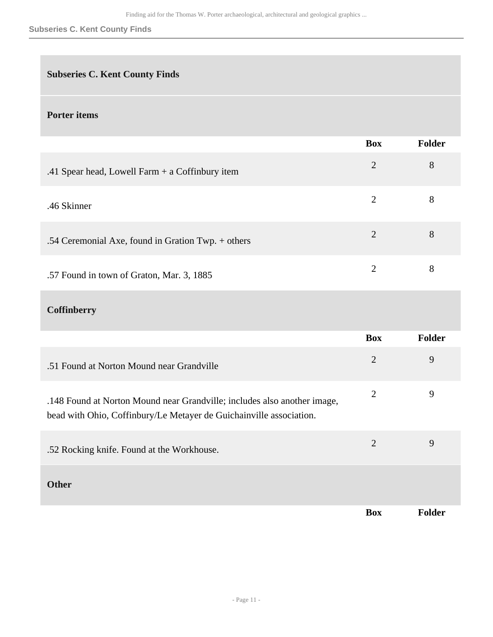#### **Subseries C. Kent County Finds**

# **Subseries C. Kent County Finds**

# **Porter items**

|                                                                                                                                                 | <b>Box</b>     | <b>Folder</b> |
|-------------------------------------------------------------------------------------------------------------------------------------------------|----------------|---------------|
| .41 Spear head, Lowell Farm + a Coffinbury item                                                                                                 | $\overline{2}$ | 8             |
| .46 Skinner                                                                                                                                     | $\overline{2}$ | 8             |
| .54 Ceremonial Axe, found in Gration Twp. + others                                                                                              | $\overline{2}$ | 8             |
| .57 Found in town of Graton, Mar. 3, 1885                                                                                                       | $\overline{2}$ | 8             |
| <b>Coffinberry</b>                                                                                                                              |                |               |
|                                                                                                                                                 | <b>Box</b>     | <b>Folder</b> |
| .51 Found at Norton Mound near Grandville                                                                                                       | $\overline{2}$ | 9             |
| .148 Found at Norton Mound near Grandville; includes also another image,<br>bead with Ohio, Coffinbury/Le Metayer de Guichainville association. | $\overline{2}$ | 9             |
|                                                                                                                                                 |                |               |
| .52 Rocking knife. Found at the Workhouse.                                                                                                      | $\overline{2}$ | 9             |
| <b>Other</b>                                                                                                                                    |                |               |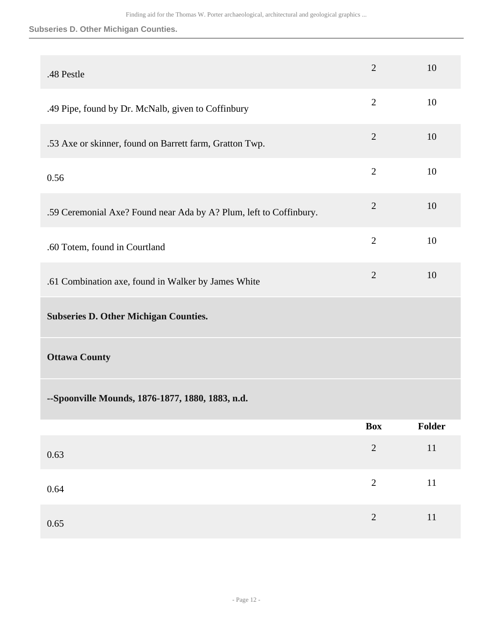#### **Subseries D. Other Michigan Counties.**

| .48 Pestle                                                         | $\overline{2}$ | 10     |
|--------------------------------------------------------------------|----------------|--------|
| .49 Pipe, found by Dr. McNalb, given to Coffinbury                 | $\overline{2}$ | 10     |
| .53 Axe or skinner, found on Barrett farm, Gratton Twp.            | $\overline{2}$ | 10     |
| 0.56                                                               | $\overline{2}$ | 10     |
| .59 Ceremonial Axe? Found near Ada by A? Plum, left to Coffinbury. | $\overline{2}$ | 10     |
| .60 Totem, found in Courtland                                      | $\overline{2}$ | 10     |
| .61 Combination axe, found in Walker by James White                | $\mathbf{2}$   | 10     |
| <b>Subseries D. Other Michigan Counties.</b>                       |                |        |
|                                                                    |                |        |
| <b>Ottawa County</b>                                               |                |        |
| --Spoonville Mounds, 1876-1877, 1880, 1883, n.d.                   |                |        |
|                                                                    | <b>Box</b>     | Folder |
| 0.63                                                               | $\sqrt{2}$     | $11\,$ |
| 0.64                                                               | $\sqrt{2}$     | $11\,$ |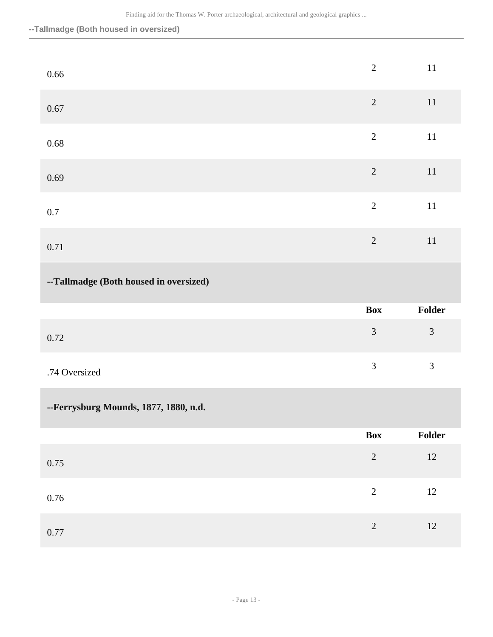**--Tallmadge (Both housed in oversized)**

| $0.66\,$                               | $\sqrt{2}$     | $11\,$         |
|----------------------------------------|----------------|----------------|
| $0.67\,$                               | $\sqrt{2}$     | $11\,$         |
| $0.68\,$                               | $\overline{2}$ | $11\,$         |
| 0.69                                   | $\sqrt{2}$     | $11\,$         |
| $0.7\,$                                | $\sqrt{2}$     | $11\,$         |
| 0.71                                   | $\overline{2}$ | $11\,$         |
| --Tallmadge (Both housed in oversized) |                |                |
|                                        |                |                |
|                                        | <b>Box</b>     | Folder         |
| $0.72\,$                               | $\mathfrak{Z}$ | $\mathfrak{Z}$ |
| .74 Oversized                          | $\mathfrak{Z}$ | $\mathfrak{Z}$ |
| --Ferrysburg Mounds, 1877, 1880, n.d.  |                |                |
|                                        | Box            | Folder         |
| $0.75\,$                               | $\sqrt{2}$     | $12\,$         |
| $0.76\,$                               | $\overline{c}$ | $12\,$         |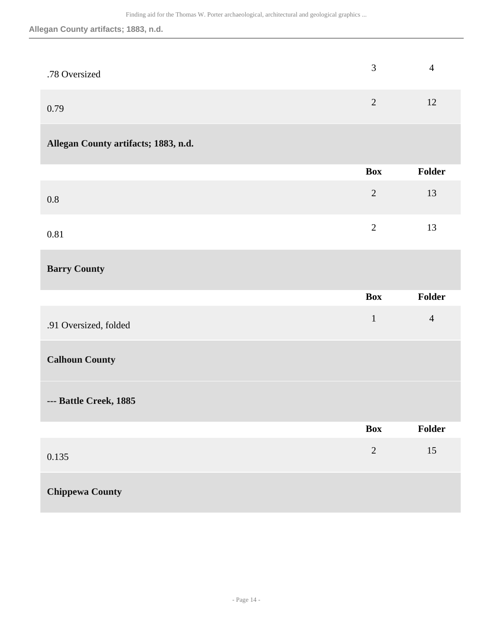# **Allegan County artifacts; 1883, n.d.**

| .78 Oversized | 4 |
|---------------|---|
| 0.79          |   |

# **Allegan County artifacts; 1883, n.d.**

|      | Box           | Folder |
|------|---------------|--------|
| 0.8  | 2             | 13     |
| 0.81 | $\mathcal{D}$ | 13     |

# **Barry County**

|                        | <b>Box</b>     | <b>Folder</b>  |
|------------------------|----------------|----------------|
| .91 Oversized, folded  | $\mathbf{1}$   | $\overline{4}$ |
| <b>Calhoun County</b>  |                |                |
| --- Battle Creek, 1885 |                |                |
|                        | <b>Box</b>     | <b>Folder</b>  |
| 0.135                  | $\overline{2}$ | 15             |
| <b>Chippewa County</b> |                |                |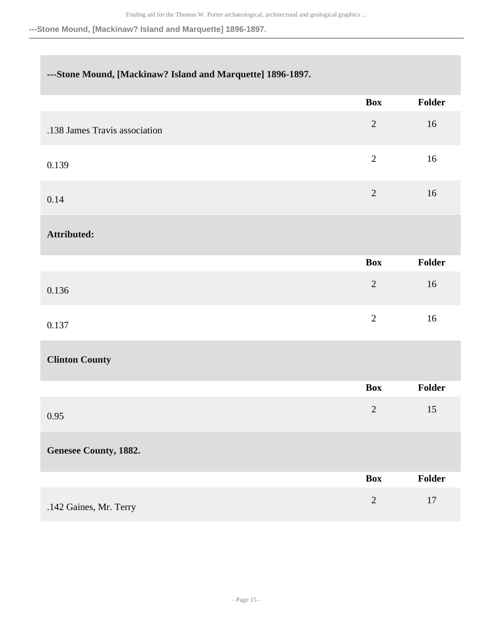**---Stone Mound, [Mackinaw? Island and Marquette] 1896-1897.**

# **---Stone Mound, [Mackinaw? Island and Marquette] 1896-1897.**

|                               | <b>Box</b>     | Folder |
|-------------------------------|----------------|--------|
| .138 James Travis association | $\overline{2}$ | 16     |
| 0.139                         | $\sqrt{2}$     | $16\,$ |
| 0.14                          | $\sqrt{2}$     | 16     |
| Attributed:                   |                |        |
|                               | <b>Box</b>     | Folder |
| 0.136                         | $\sqrt{2}$     | 16     |
| 0.137                         | $\overline{2}$ | 16     |
| <b>Clinton County</b>         |                |        |
|                               | <b>Box</b>     | Folder |
| 0.95                          | $\sqrt{2}$     | 15     |
| <b>Genesee County, 1882.</b>  |                |        |
|                               | <b>Box</b>     | Folder |
| .142 Gaines, Mr. Terry        | $\overline{2}$ | $17\,$ |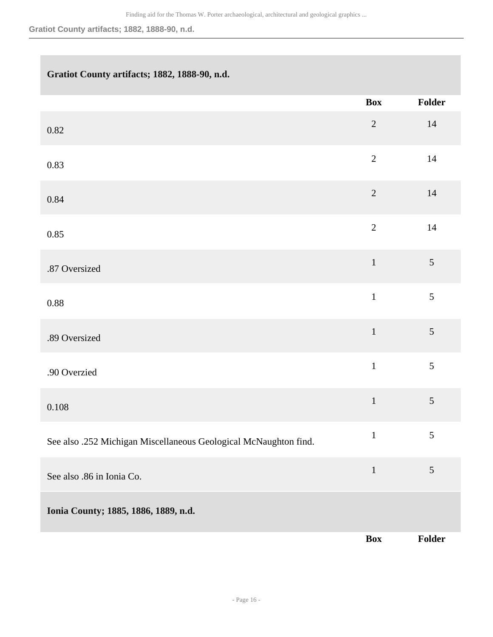**Gratiot County artifacts; 1882, 1888-90, n.d.**

# **Gratiot County artifacts; 1882, 1888-90, n.d.**

|                                                                  | <b>Box</b>     | Folder         |
|------------------------------------------------------------------|----------------|----------------|
| 0.82                                                             | $\sqrt{2}$     | $14$           |
| 0.83                                                             | $\sqrt{2}$     | $14\,$         |
| 0.84                                                             | $\sqrt{2}$     | $14$           |
| 0.85                                                             | $\overline{2}$ | $14\,$         |
| .87 Oversized                                                    | $\,1\,$        | $\mathfrak{S}$ |
| $0.88\,$                                                         | $\mathbf{1}$   | 5              |
| .89 Oversized                                                    | $\,1\,$        | 5              |
| .90 Overzied                                                     | $\mathbf{1}$   | 5              |
| $0.108\,$                                                        | $\mathbf{1}$   | $\sqrt{5}$     |
| See also .252 Michigan Miscellaneous Geological McNaughton find. | $\,1\,$        | $\sqrt{5}$     |
| See also .86 in Ionia Co.                                        | $\mathbf{1}$   | $\mathfrak{S}$ |
| Ionia County; 1885, 1886, 1889, n.d.                             |                |                |
|                                                                  | <b>Box</b>     | Folder         |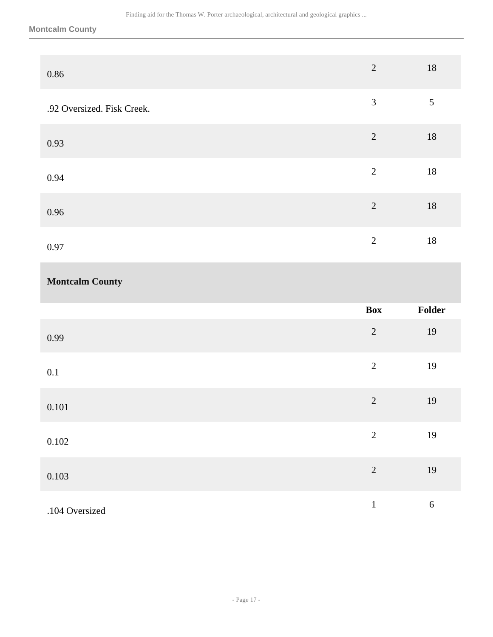**Montcalm County**

| $0.86\,$                   | $\sqrt{2}$     | $18\,$         |
|----------------------------|----------------|----------------|
| .92 Oversized. Fisk Creek. | $\overline{3}$ | $\mathfrak{S}$ |
| 0.93                       | $\sqrt{2}$     | $18\,$         |
| 0.94                       | $\sqrt{2}$     | $18\,$         |
| 0.96                       | $\overline{2}$ | $18\,$         |
| 0.97                       | $\sqrt{2}$     | $18\,$         |
|                            |                |                |
| <b>Montcalm County</b>     |                |                |
|                            | Box            | Folder         |
| 0.99                       | $\sqrt{2}$     | 19             |
| $0.1\,$                    | $\sqrt{2}$     | 19             |
| 0.101                      | $\overline{c}$ | 19             |
| 0.102                      | $\overline{c}$ | 19             |
| 0.103                      | $\overline{c}$ | 19             |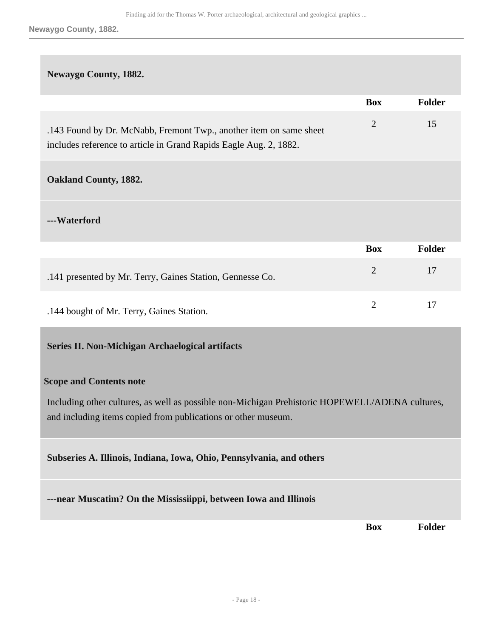**Newaygo County, 1882.**

#### **Newaygo County, 1882.**

|                                                                                                                                         | <b>Box</b>     | <b>Folder</b> |
|-----------------------------------------------------------------------------------------------------------------------------------------|----------------|---------------|
| .143 Found by Dr. McNabb, Fremont Twp., another item on same sheet<br>includes reference to article in Grand Rapids Eagle Aug. 2, 1882. | $\overline{2}$ | 15            |
| <b>Oakland County, 1882.</b>                                                                                                            |                |               |
| ---Waterford                                                                                                                            |                |               |
|                                                                                                                                         | <b>Box</b>     | <b>Folder</b> |
| .141 presented by Mr. Terry, Gaines Station, Gennesse Co.                                                                               | $\overline{2}$ | 17            |
| .144 bought of Mr. Terry, Gaines Station.                                                                                               | $\overline{2}$ | 17            |
| Series II. Non-Michigan Archaelogical artifacts                                                                                         |                |               |

#### <span id="page-17-0"></span>**Scope and Contents note**

Including other cultures, as well as possible non-Michigan Prehistoric HOPEWELL/ADENA cultures, and including items copied from publications or other museum.

#### **Subseries A. Illinois, Indiana, Iowa, Ohio, Pennsylvania, and others**

**---near Muscatim? On the Mississiippi, between Iowa and Illinois** 

**Box Folder**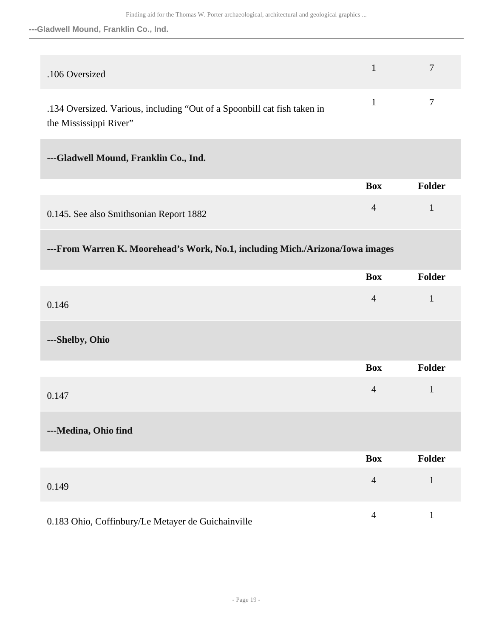#### **---Gladwell Mound, Franklin Co., Ind.**

| .106 Oversized                                                           | $\overline{7}$ |
|--------------------------------------------------------------------------|----------------|
| .134 Oversized. Various, including "Out of a Spoonbill cat fish taken in | $\overline{7}$ |

### the Mississippi River"

# **---Gladwell Mound, Franklin Co., Ind.**

|                                         | Box | <b>Folder</b> |
|-----------------------------------------|-----|---------------|
| 0.145. See also Smithsonian Report 1882 |     |               |

# **---From Warren K. Moorehead's Work, No.1, including Mich./Arizona/Iowa images**

|                                                    | <b>Box</b>     | Folder       |
|----------------------------------------------------|----------------|--------------|
| 0.146                                              | $\overline{4}$ | $\mathbf{1}$ |
| ---Shelby, Ohio                                    |                |              |
|                                                    | <b>Box</b>     | Folder       |
| 0.147                                              | $\overline{4}$ | $\mathbf{1}$ |
| ---Medina, Ohio find                               |                |              |
|                                                    | <b>Box</b>     | Folder       |
| 0.149                                              | $\overline{4}$ | $\mathbf{1}$ |
| 0.183 Ohio, Coffinbury/Le Metayer de Guichainville | $\overline{4}$ | $\mathbf{1}$ |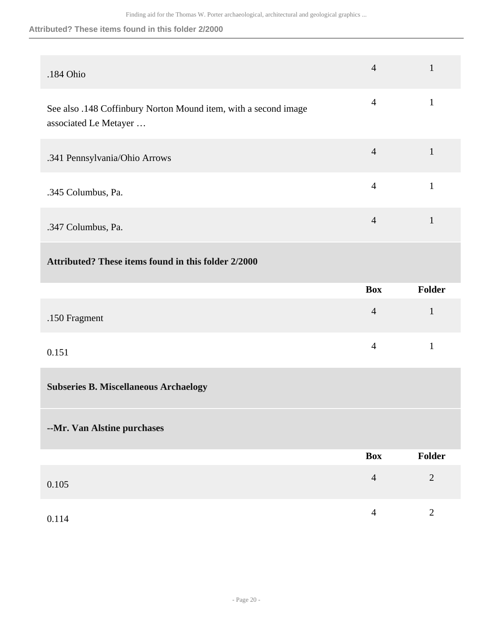#### **Attributed? These items found in this folder 2/2000**

| .184 Ohio                                                                                | $\overline{4}$ | $\mathbf{1}$ |
|------------------------------------------------------------------------------------------|----------------|--------------|
| See also .148 Coffinbury Norton Mound item, with a second image<br>associated Le Metayer | $\overline{4}$ | $\mathbf{1}$ |
| .341 Pennsylvania/Ohio Arrows                                                            | $\overline{4}$ | $\mathbf{1}$ |
| .345 Columbus, Pa.                                                                       | $\overline{4}$ | $\mathbf{1}$ |
| .347 Columbus, Pa.                                                                       | $\overline{4}$ | $\mathbf{1}$ |
| Attributed? These items found in this folder 2/2000                                      |                |              |
|                                                                                          | <b>Box</b>     | Folder       |
| .150 Fragment                                                                            | $\overline{4}$ | $\mathbf{1}$ |
|                                                                                          |                |              |
| 0.151                                                                                    | $\overline{4}$ | $\mathbf{1}$ |
| <b>Subseries B. Miscellaneous Archaelogy</b>                                             |                |              |
| --Mr. Van Alstine purchases                                                              |                |              |
|                                                                                          | <b>Box</b>     | Folder       |
| 0.105                                                                                    | $\overline{4}$ | $\sqrt{2}$   |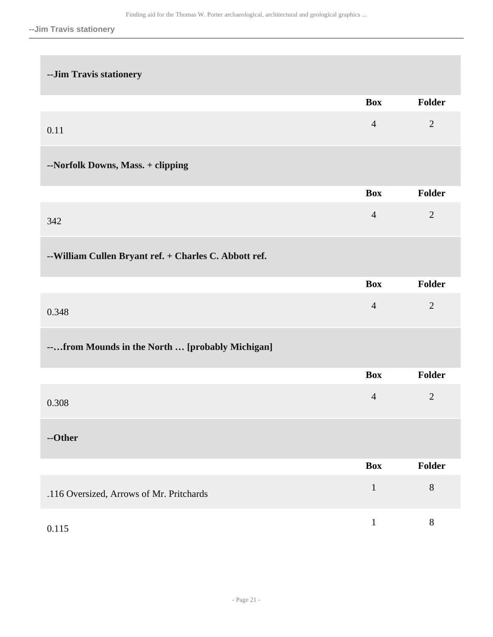| -- Jim Travis stationery                               |                |                |
|--------------------------------------------------------|----------------|----------------|
|                                                        | <b>Box</b>     | Folder         |
| 0.11                                                   | $\overline{4}$ | $\overline{2}$ |
| --Norfolk Downs, Mass. + clipping                      |                |                |
|                                                        | <b>Box</b>     | Folder         |
| 342                                                    | $\overline{4}$ | $\overline{2}$ |
| -- William Cullen Bryant ref. + Charles C. Abbott ref. |                |                |
|                                                        | <b>Box</b>     | Folder         |
| 0.348                                                  | $\overline{4}$ | $\overline{2}$ |
| --from Mounds in the North  [probably Michigan]        |                |                |
|                                                        | <b>Box</b>     | Folder         |
| 0.308                                                  | $\overline{4}$ | $\overline{2}$ |
| --Other                                                |                |                |
|                                                        | <b>Box</b>     | Folder         |
| .116 Oversized, Arrows of Mr. Pritchards               | $\,1\,$        | $8\,$          |
| 0.115                                                  | $\mathbf{1}$   | $8\,$          |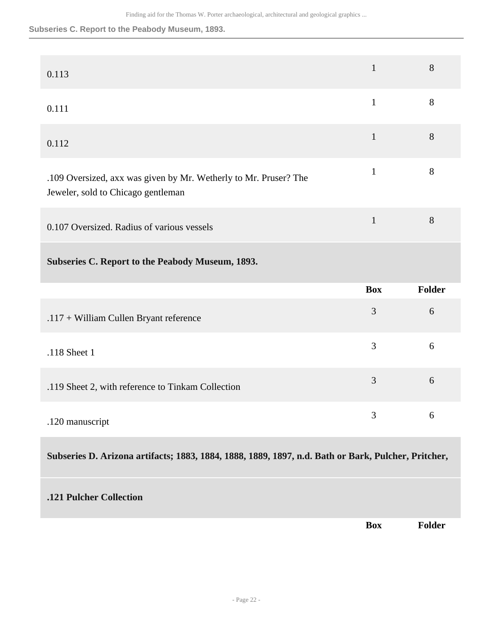**Subseries C. Report to the Peabody Museum, 1893.**

| 0.113                                                                                                  | $\mathbf{1}$ | 8             |
|--------------------------------------------------------------------------------------------------------|--------------|---------------|
| 0.111                                                                                                  | $\mathbf{1}$ | 8             |
| 0.112                                                                                                  | $\mathbf{1}$ | 8             |
| .109 Oversized, axx was given by Mr. Wetherly to Mr. Pruser? The<br>Jeweler, sold to Chicago gentleman | $\mathbf{1}$ | 8             |
| 0.107 Oversized. Radius of various vessels                                                             | $\mathbf{1}$ | 8             |
| Subseries C. Report to the Peabody Museum, 1893.                                                       |              |               |
|                                                                                                        | <b>Box</b>   | <b>Folder</b> |
| .117 + William Cullen Bryant reference                                                                 | 3            | 6             |
| .118 Sheet 1                                                                                           | 3            | 6             |
| .119 Sheet 2, with reference to Tinkam Collection                                                      | 3            | 6             |
| .120 manuscript                                                                                        | 3            | 6             |
| Subseries D. Arizona artifacts; 1883, 1884, 1888, 1889, 1897, n.d. Bath or Bark, Pulcher, Pritcher,    |              |               |
| .121 Pulcher Collection                                                                                |              |               |
|                                                                                                        | <b>Box</b>   | Folder        |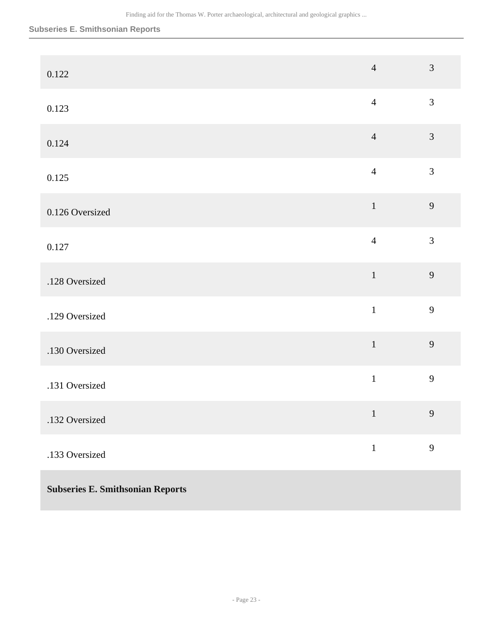#### **Subseries E. Smithsonian Reports**

| 0.122                                   | $\overline{4}$ | $\mathfrak{Z}$ |
|-----------------------------------------|----------------|----------------|
| 0.123                                   | $\overline{4}$ | $\mathfrak{Z}$ |
| 0.124                                   | $\overline{4}$ | $\mathfrak{Z}$ |
| 0.125                                   | $\overline{4}$ | $\mathfrak{Z}$ |
| 0.126 Oversized                         | $\mathbf 1$    | 9              |
| 0.127                                   | $\overline{4}$ | $\overline{3}$ |
| .128 Oversized                          | $\mathbf{1}$   | 9              |
| .129 Oversized                          | $\mathbf{1}$   | 9              |
| .130 Oversized                          | $\mathbf 1$    | 9              |
| .131 Oversized                          | $\mathbf 1$    | 9              |
| .132 Oversized                          | $\mathbf{1}$   | $\overline{9}$ |
| .133 Oversized                          | $\,1\,$        | 9              |
| <b>Subseries E. Smithsonian Reports</b> |                |                |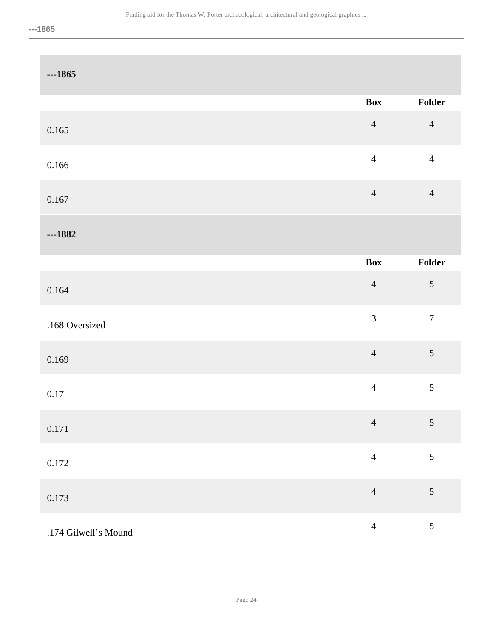| $-1865$              |                |                  |
|----------------------|----------------|------------------|
|                      | Box            | Folder           |
| 0.165                | $\overline{4}$ | $\overline{4}$   |
| $0.166\,$            | $\overline{4}$ | $\overline{4}$   |
| 0.167                | $\overline{4}$ | $\overline{4}$   |
| $-1882$              |                |                  |
|                      | <b>Box</b>     | Folder           |
| 0.164                | $\overline{4}$ | $\sqrt{5}$       |
| .168 Oversized       | $\mathfrak{Z}$ | $\boldsymbol{7}$ |
| 0.169                | $\overline{4}$ | $\sqrt{5}$       |
| $0.17\,$             | $\overline{4}$ | 5                |
| 0.171                | $\overline{4}$ | $\sqrt{5}$       |
| $0.172\,$            | $\overline{4}$ | 5                |
| 0.173                | $\overline{4}$ | $\sqrt{5}$       |
| .174 Gilwell's Mound | $\overline{4}$ | $\mathfrak{S}$   |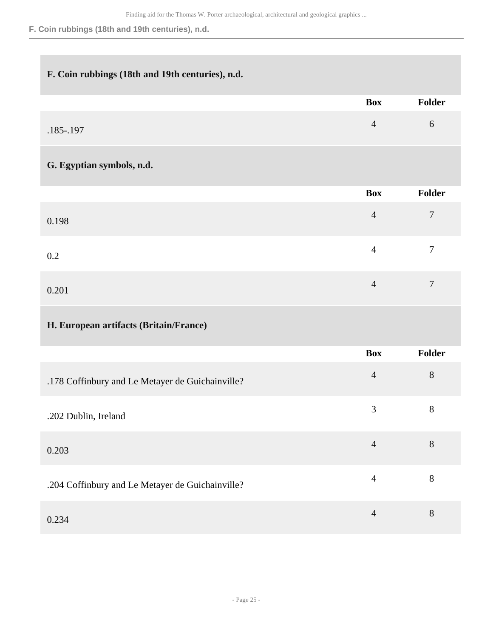### **F. Coin rubbings (18th and 19th centuries), n.d.**

# **F. Coin rubbings (18th and 19th centuries), n.d.**

|                                                  | <b>Box</b>     | Folder         |
|--------------------------------------------------|----------------|----------------|
| .185-.197                                        | $\overline{4}$ | 6              |
| G. Egyptian symbols, n.d.                        |                |                |
|                                                  | <b>Box</b>     | Folder         |
| 0.198                                            | $\overline{4}$ | $\overline{7}$ |
| $0.2\,$                                          | $\overline{4}$ | $\overline{7}$ |
| 0.201                                            | $\overline{4}$ | $\overline{7}$ |
|                                                  |                |                |
| H. European artifacts (Britain/France)           |                |                |
|                                                  | <b>Box</b>     | Folder         |
| .178 Coffinbury and Le Metayer de Guichainville? | $\overline{4}$ | $\, 8$         |
| .202 Dublin, Ireland                             | 3              | $8\,$          |
| 0.203                                            | $\overline{4}$ | $8\,$          |
| .204 Coffinbury and Le Metayer de Guichainville? | $\overline{4}$ | $8\,$          |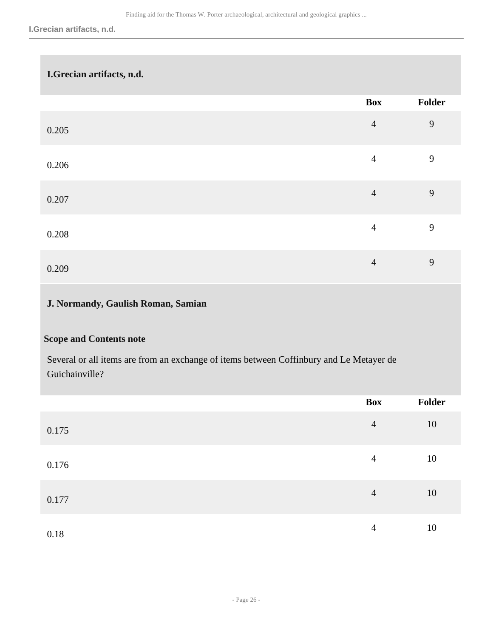| I.Grecian artifacts, n.d. |                |                |
|---------------------------|----------------|----------------|
|                           | Box            | Folder         |
| 0.205                     | $\overline{4}$ | 9              |
| 0.206                     | $\overline{4}$ | $\overline{9}$ |
| 0.207                     | $\overline{4}$ | 9              |
| 0.208                     | $\overline{4}$ | 9              |
| 0.209                     | $\overline{4}$ | 9              |
| $\sim$                    |                |                |

# **J. Normandy, Gaulish Roman, Samian**

# **Scope and Contents note**

Several or all items are from an exchange of items between Coffinbury and Le Metayer de Guichainville?

|       | Box            | Folder |
|-------|----------------|--------|
| 0.175 | $\overline{4}$ | 10     |
| 0.176 | $\overline{4}$ | 10     |
| 0.177 | $\overline{4}$ | 10     |
| 0.18  | $\overline{4}$ | 10     |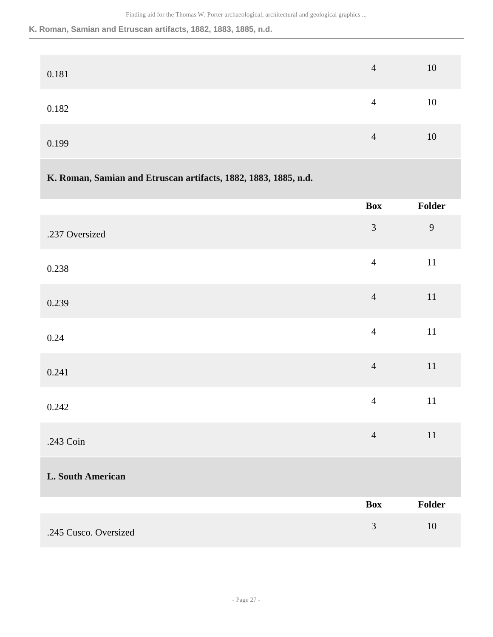#### **K. Roman, Samian and Etruscan artifacts, 1882, 1883, 1885, n.d.**

| 0.181 | $\overline{4}$ | 10 |
|-------|----------------|----|
| 0.182 | 4              | 10 |
| 0.199 | $\overline{4}$ | 10 |

# **K. Roman, Samian and Etruscan artifacts, 1882, 1883, 1885, n.d.**

|                          | <b>Box</b>     | Folder |
|--------------------------|----------------|--------|
| .237 Oversized           | $\mathfrak{Z}$ | 9      |
| 0.238                    | $\overline{4}$ | $11\,$ |
| 0.239                    | $\overline{4}$ | $11\,$ |
| 0.24                     | $\overline{4}$ | $11\,$ |
| 0.241                    | $\overline{4}$ | $11\,$ |
| 0.242                    | $\overline{4}$ | $11\,$ |
| .243 Coin                | $\overline{4}$ | $11\,$ |
| <b>L. South American</b> |                |        |
|                          | <b>Box</b>     | Folder |
| .245 Cusco. Oversized    | $\mathfrak{Z}$ | $10\,$ |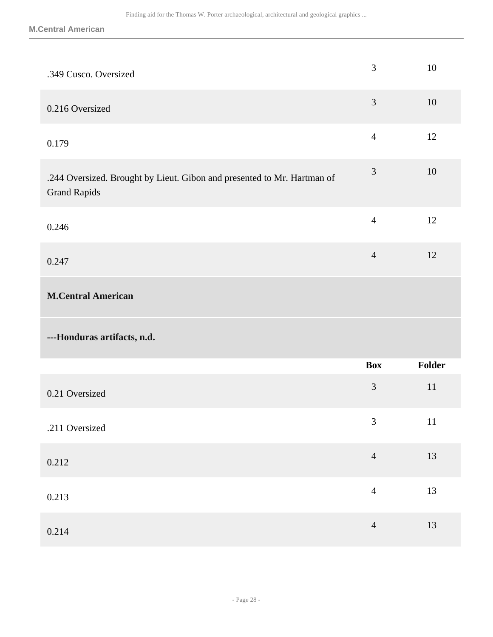| .349 Cusco. Oversized                                                                          | 3              | 10     |
|------------------------------------------------------------------------------------------------|----------------|--------|
| 0.216 Oversized                                                                                | $\overline{3}$ | 10     |
| 0.179                                                                                          | $\overline{4}$ | 12     |
| .244 Oversized. Brought by Lieut. Gibon and presented to Mr. Hartman of<br><b>Grand Rapids</b> | 3              | 10     |
| 0.246                                                                                          | $\overline{4}$ | 12     |
| 0.247                                                                                          | $\overline{4}$ | 12     |
| <b>M.Central American</b>                                                                      |                |        |
|                                                                                                |                |        |
| ---Honduras artifacts, n.d.                                                                    |                |        |
|                                                                                                | <b>Box</b>     | Folder |
| 0.21 Oversized                                                                                 | 3              | 11     |
| .211 Oversized                                                                                 | 3              | 11     |
| 0.212                                                                                          | $\overline{4}$ | 13     |
| 0.213                                                                                          | $\overline{4}$ | 13     |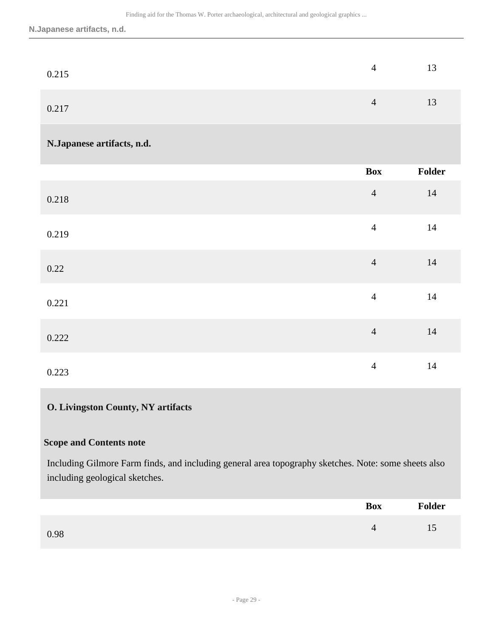| 0.215 | 4              | 13 |
|-------|----------------|----|
| 0.217 | $\overline{4}$ | 13 |

### **N.Japanese artifacts, n.d.**

|       | <b>Box</b>     | Folder |
|-------|----------------|--------|
| 0.218 | $\overline{4}$ | 14     |
| 0.219 | $\overline{4}$ | $14$   |
| 0.22  | $\overline{4}$ | 14     |
| 0.221 | $\overline{4}$ | 14     |
| 0.222 | $\overline{4}$ | 14     |
| 0.223 | $\overline{4}$ | 14     |

### **O. Livingston County, NY artifacts**

#### **Scope and Contents note**

Including Gilmore Farm finds, and including general area topography sketches. Note: some sheets also including geological sketches.

|      | <b>Box</b> | Folder |
|------|------------|--------|
| 0.98 | 4          | 15     |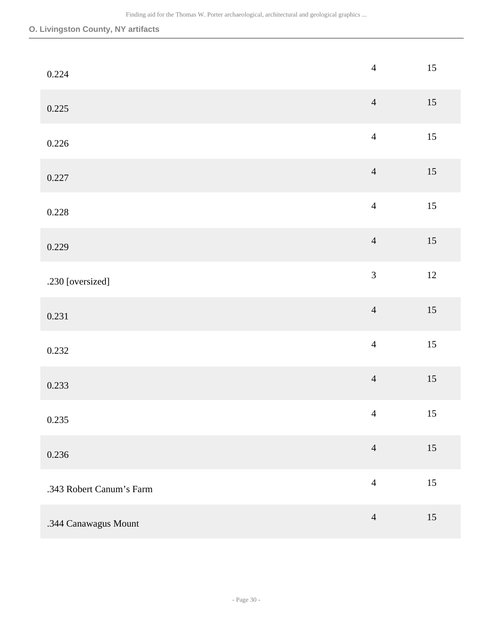# **O. Livingston County, NY artifacts**

| 0.224                    | $\overline{4}$ | $15\,$ |
|--------------------------|----------------|--------|
| 0.225                    | $\overline{4}$ | $15\,$ |
| 0.226                    | $\overline{4}$ | $15\,$ |
| 0.227                    | $\overline{4}$ | $15\,$ |
| 0.228                    | $\overline{4}$ | $15\,$ |
| 0.229                    | $\overline{4}$ | $15\,$ |
| .230 [oversized]         | $\overline{3}$ | $12\,$ |
| 0.231                    | $\overline{4}$ | $15\,$ |
| 0.232                    | $\overline{4}$ | 15     |
| 0.233                    | $\overline{4}$ | $15\,$ |
| 0.235                    | $\overline{4}$ | 15     |
| 0.236                    | $\overline{4}$ | $15\,$ |
| .343 Robert Canum's Farm | $\overline{4}$ | $15\,$ |
| .344 Canawagus Mount     | $\overline{4}$ | $15\,$ |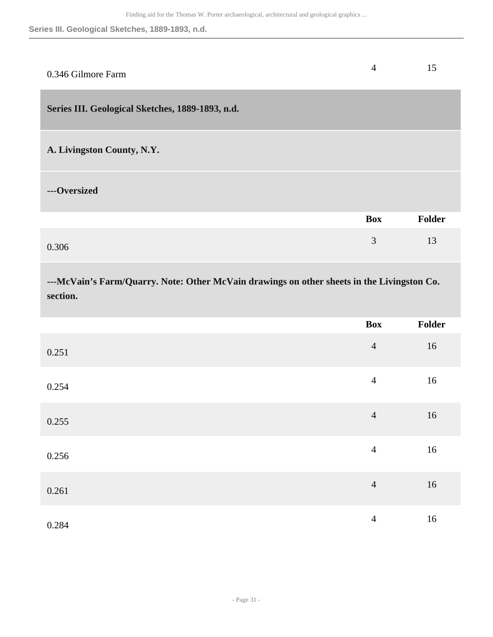# **Series III. Geological Sketches, 1889-1893, n.d.**

<span id="page-30-0"></span>

| 0.346 Gilmore Farm                                                                                     | $\overline{4}$ | 15            |
|--------------------------------------------------------------------------------------------------------|----------------|---------------|
| Series III. Geological Sketches, 1889-1893, n.d.                                                       |                |               |
| A. Livingston County, N.Y.                                                                             |                |               |
| ---Oversized                                                                                           |                |               |
|                                                                                                        | <b>Box</b>     | Folder        |
| 0.306                                                                                                  | $\overline{3}$ | 13            |
| ---McVain's Farm/Quarry. Note: Other McVain drawings on other sheets in the Livingston Co.<br>section. |                |               |
|                                                                                                        | <b>Box</b>     | <b>Folder</b> |
| 0.251                                                                                                  | $\overline{4}$ | 16            |
| 0.254                                                                                                  | $\overline{4}$ | 16            |
| 0.255                                                                                                  | $\overline{4}$ | 16            |
|                                                                                                        |                |               |

 $0.256$  and  $4$  16

 $0.261$  and  $4$  16

 $0.284$  16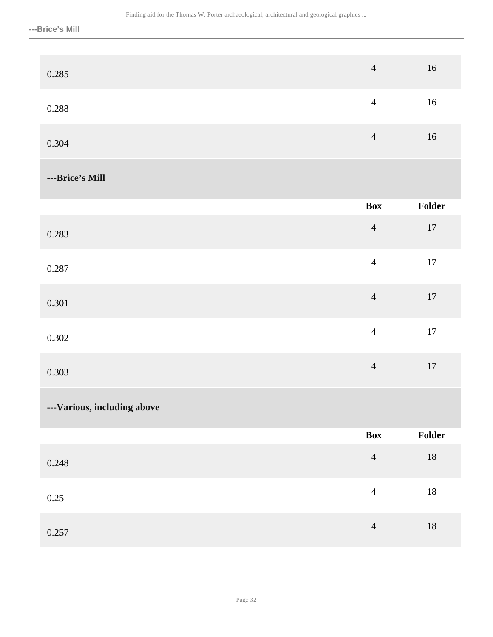| 0.285                       | $\overline{4}$ | $16\,$ |
|-----------------------------|----------------|--------|
| 0.288                       | $\overline{4}$ | $16\,$ |
| 0.304                       | $\overline{4}$ | $16\,$ |
| ---Brice's Mill             |                |        |
|                             | <b>Box</b>     | Folder |
| 0.283                       | $\overline{4}$ | $17\,$ |
| 0.287                       | $\overline{4}$ | $17\,$ |
| 0.301                       | $\overline{4}$ | $17\,$ |
| 0.302                       | $\overline{4}$ | $17\,$ |
| 0.303                       | $\overline{4}$ | $17\,$ |
| ---Various, including above |                |        |
|                             | Box            | Folder |
| 0.248                       | $\overline{4}$ | $18\,$ |
| $0.25\,$                    | $\overline{4}$ | $18\,$ |
| 0.257                       | $\sqrt{4}$     | $18\,$ |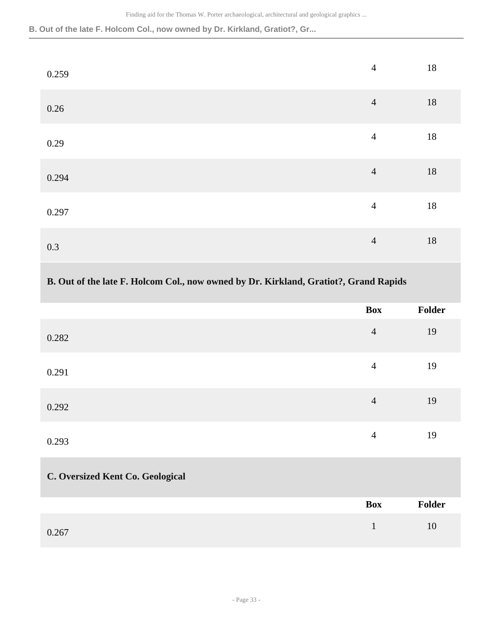**B. Out of the late F. Holcom Col., now owned by Dr. Kirkland, Gratiot?, Gr...**

| 0.259 | $\overline{4}$ | $18\,$ |
|-------|----------------|--------|
| 0.26  | $\overline{4}$ | $18\,$ |
| 0.29  | $\overline{4}$ | $18\,$ |
| 0.294 | $\overline{4}$ | $18\,$ |
| 0.297 | $\overline{4}$ | $18\,$ |
| 0.3   | $\overline{4}$ | $18\,$ |

# **B. Out of the late F. Holcom Col., now owned by Dr. Kirkland, Gratiot?, Grand Rapids**

|                                  | <b>Box</b>     | Folder |
|----------------------------------|----------------|--------|
| 0.282                            | $\overline{4}$ | 19     |
| 0.291                            | $\overline{4}$ | 19     |
| 0.292                            | $\overline{4}$ | 19     |
| 0.293                            | $\overline{4}$ | 19     |
| C. Oversized Kent Co. Geological |                |        |
|                                  | <b>Box</b>     | Folder |
| 0.267                            | $\mathbf{1}$   | 10     |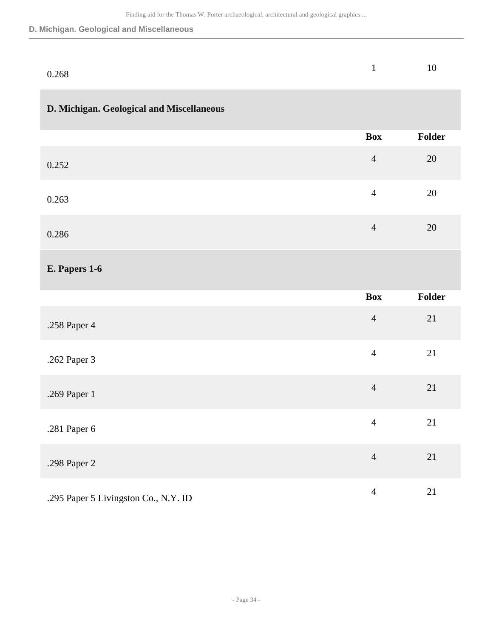#### **D. Michigan. Geological and Miscellaneous**

| 0.268 | 1 10 |  |
|-------|------|--|
|       |      |  |

# **D. Michigan. Geological and Miscellaneous**

|       | Box            | Folder |
|-------|----------------|--------|
| 0.252 | $\overline{4}$ | 20     |
| 0.263 | $\overline{4}$ | 20     |
| 0.286 | $\overline{4}$ | 20     |

### **E. Papers 1-6**

|                                      | <b>Box</b>     | Folder |
|--------------------------------------|----------------|--------|
| .258 Paper 4                         | $\overline{4}$ | 21     |
| .262 Paper 3                         | $\overline{4}$ | 21     |
| .269 Paper 1                         | $\overline{4}$ | 21     |
| .281 Paper 6                         | $\overline{4}$ | 21     |
| .298 Paper 2                         | $\overline{4}$ | 21     |
| .295 Paper 5 Livingston Co., N.Y. ID | $\overline{4}$ | 21     |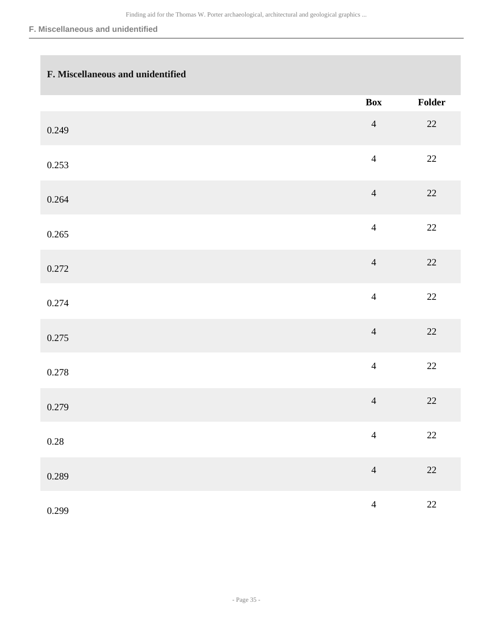#### **F. Miscellaneous and unidentified**

# **F. Miscellaneous and unidentified**

|          | Box            | Folder |
|----------|----------------|--------|
| 0.249    | $\overline{4}$ | $22\,$ |
| 0.253    | $\overline{4}$ | 22     |
| 0.264    | $\overline{4}$ | $22\,$ |
| 0.265    | $\overline{4}$ | 22     |
| 0.272    | $\overline{4}$ | 22     |
| 0.274    | $\overline{4}$ | $22\,$ |
| 0.275    | $\overline{4}$ | 22     |
| 0.278    | $\overline{4}$ | $22\,$ |
| 0.279    | $\overline{4}$ | $22\,$ |
| $0.28\,$ | $\overline{4}$ | $22\,$ |
| 0.289    | $\overline{4}$ | $22\,$ |
| 0.299    | $\overline{4}$ | $22\,$ |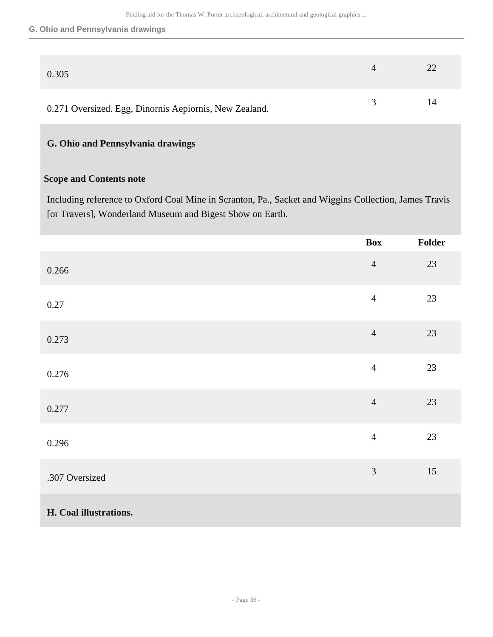#### **G. Ohio and Pennsylvania drawings**

| 0.305                                                  |               | 22 |
|--------------------------------------------------------|---------------|----|
| 0.271 Oversized. Egg, Dinornis Aepiornis, New Zealand. | $\mathcal{R}$ | 14 |

# **G. Ohio and Pennsylvania drawings**

### **Scope and Contents note**

Including reference to Oxford Coal Mine in Scranton, Pa., Sacket and Wiggins Collection, James Travis [or Travers], Wonderland Museum and Bigest Show on Earth.

|                        | <b>Box</b>     | Folder |
|------------------------|----------------|--------|
| 0.266                  | $\overline{4}$ | 23     |
| 0.27                   | $\overline{4}$ | 23     |
| 0.273                  | $\overline{4}$ | 23     |
| 0.276                  | $\overline{4}$ | 23     |
| 0.277                  | $\overline{4}$ | 23     |
| 0.296                  | $\overline{4}$ | $23\,$ |
| .307 Oversized         | 3              | 15     |
| H. Coal illustrations. |                |        |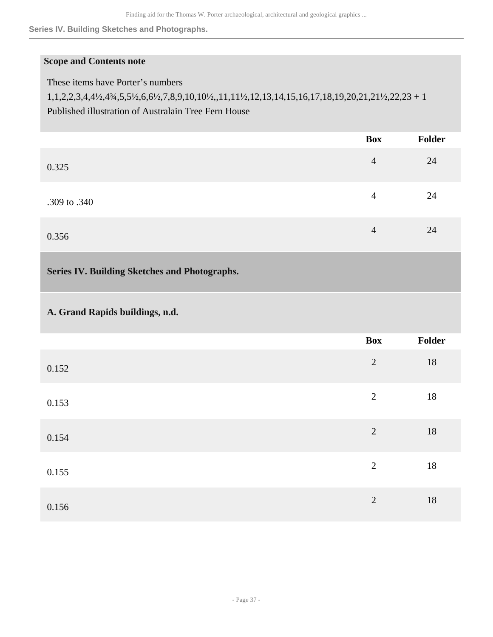**Series IV. Building Sketches and Photographs.**

# **Scope and Contents note**

These items have Porter's numbers

1,1,2,2,3,4,4½,4¾,5,5½,6,6½,7,8,9,10,10½,,11,11½,12,13,14,15,16,17,18,19,20,21,21½,22,23 + 1 Published illustration of Australain Tree Fern House

<span id="page-36-0"></span>

|                                               | <b>Box</b>     | Folder |
|-----------------------------------------------|----------------|--------|
| 0.325                                         | $\overline{4}$ | 24     |
| .309 to .340                                  | $\overline{4}$ | 24     |
| 0.356                                         | $\overline{4}$ | 24     |
| Series IV. Building Sketches and Photographs. |                |        |
| A. Grand Rapids buildings, n.d.               |                |        |
|                                               | <b>Box</b>     | Folder |
| 0.152                                         | $\overline{2}$ | 18     |
| 0.153                                         | $\overline{2}$ | 18     |
| 0.154                                         | $\overline{2}$ | $18\,$ |
| 0.155                                         | $\overline{2}$ | 18     |
| 0.156                                         | $\overline{2}$ | 18     |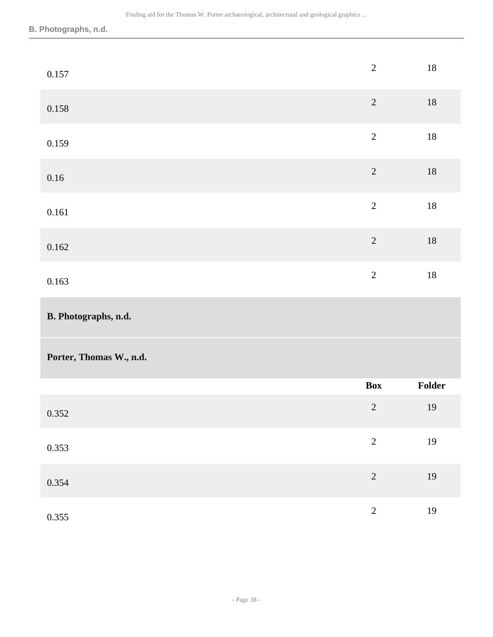# **B. Photographs, n.d.**

| 0.157                   | $\overline{2}$ | $18\,$ |
|-------------------------|----------------|--------|
| 0.158                   | $\overline{c}$ | $18\,$ |
| 0.159                   | $\overline{2}$ | $18\,$ |
| 0.16                    | $\overline{2}$ | $18\,$ |
| $0.161\,$               | $\overline{2}$ | $18\,$ |
| 0.162                   | $\overline{2}$ | $18\,$ |
| 0.163                   | $\sqrt{2}$     | $18\,$ |
|                         |                |        |
| B. Photographs, n.d.    |                |        |
| Porter, Thomas W., n.d. |                |        |
|                         | <b>Box</b>     | Folder |
| 0.352                   | $\sqrt{2}$     | $19\,$ |
| 0.353                   | $\overline{2}$ | $19\,$ |
| 0.354                   | $\overline{c}$ | 19     |